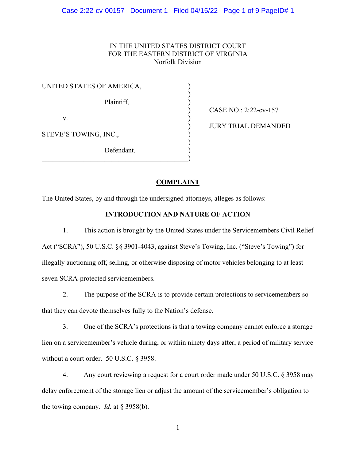# IN THE UNITED STATES DISTRICT COURT FOR THE EASTERN DISTRICT OF VIRGINIA Norfolk Division

| UNITED STATES OF AMERICA, |  |
|---------------------------|--|
| Plaintiff,                |  |
| V.                        |  |
| STEVE'S TOWING, INC.,     |  |
| Defendant.                |  |

 $\qquad \qquad \qquad \qquad \qquad \qquad \qquad$ 

) CASE NO.: 2:22-cv-157

) JURY TRIAL DEMANDED

# **COMPLAINT**

The United States, by and through the undersigned attorneys, alleges as follows:

# **INTRODUCTION AND NATURE OF ACTION**

1. This action is brought by the United States under the Servicemembers Civil Relief Act ("SCRA"), 50 U.S.C. §§ 3901-4043, against Steve's Towing, Inc. ("Steve's Towing") for illegally auctioning off, selling, or otherwise disposing of motor vehicles belonging to at least seven SCRA-protected servicemembers.

2. The purpose of the SCRA is to provide certain protections to servicemembers so that they can devote themselves fully to the Nation's defense.

3. One of the SCRA's protections is that a towing company cannot enforce a storage lien on a servicemember's vehicle during, or within ninety days after, a period of military service without a court order. 50 U.S.C. § 3958.

4. Any court reviewing a request for a court order made under 50 U.S.C. § 3958 may delay enforcement of the storage lien or adjust the amount of the servicemember's obligation to the towing company. *Id.* at § 3958(b).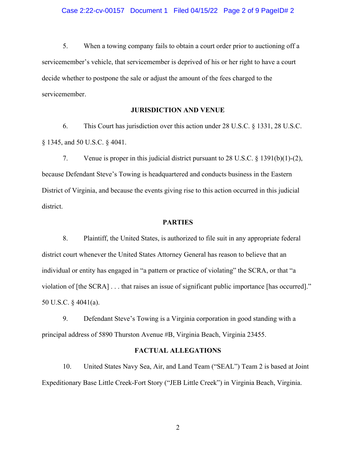5. When a towing company fails to obtain a court order prior to auctioning off a servicemember's vehicle, that servicemember is deprived of his or her right to have a court decide whether to postpone the sale or adjust the amount of the fees charged to the servicemember.

### **JURISDICTION AND VENUE**

6. This Court has jurisdiction over this action under 28 U.S.C. § 1331, 28 U.S.C. § 1345, and 50 U.S.C. § 4041.

7. Venue is proper in this judicial district pursuant to 28 U.S.C. § 1391(b)(1)-(2), because Defendant Steve's Towing is headquartered and conducts business in the Eastern District of Virginia, and because the events giving rise to this action occurred in this judicial district.

### **PARTIES**

8. Plaintiff, the United States, is authorized to file suit in any appropriate federal district court whenever the United States Attorney General has reason to believe that an individual or entity has engaged in "a pattern or practice of violating" the SCRA, or that "a violation of [the SCRA] . . . that raises an issue of significant public importance [has occurred]." 50 U.S.C. § 4041(a).

9. Defendant Steve's Towing is a Virginia corporation in good standing with a principal address of 5890 Thurston Avenue #B, Virginia Beach, Virginia 23455.

#### **FACTUAL ALLEGATIONS**

 10. United States Navy Sea, Air, and Land Team ("SEAL") Team 2 is based at Joint Expeditionary Base Little Creek-Fort Story ("JEB Little Creek") in Virginia Beach, Virginia.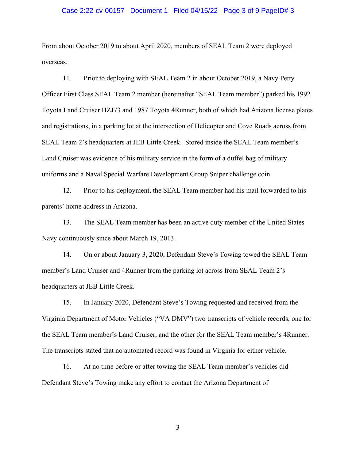#### Case 2:22-cv-00157 Document 1 Filed 04/15/22 Page 3 of 9 PageID# 3

From about October 2019 to about April 2020, members of SEAL Team 2 were deployed overseas.

 11. Prior to deploying with SEAL Team 2 in about October 2019, a Navy Petty Officer First Class SEAL Team 2 member (hereinafter "SEAL Team member") parked his 1992 Toyota Land Cruiser HZJ73 and 1987 Toyota 4Runner, both of which had Arizona license plates and registrations, in a parking lot at the intersection of Helicopter and Cove Roads across from SEAL Team 2's headquarters at JEB Little Creek. Stored inside the SEAL Team member's Land Cruiser was evidence of his military service in the form of a duffel bag of military uniforms and a Naval Special Warfare Development Group Sniper challenge coin.

 12. Prior to his deployment, the SEAL Team member had his mail forwarded to his parents' home address in Arizona.

 13. The SEAL Team member has been an active duty member of the United States Navy continuously since about March 19, 2013.

 14. On or about January 3, 2020, Defendant Steve's Towing towed the SEAL Team member's Land Cruiser and 4Runner from the parking lot across from SEAL Team 2's headquarters at JEB Little Creek.

 15. In January 2020, Defendant Steve's Towing requested and received from the Virginia Department of Motor Vehicles ("VA DMV") two transcripts of vehicle records, one for the SEAL Team member's Land Cruiser, and the other for the SEAL Team member's 4Runner. The transcripts stated that no automated record was found in Virginia for either vehicle.

 16. At no time before or after towing the SEAL Team member's vehicles did Defendant Steve's Towing make any effort to contact the Arizona Department of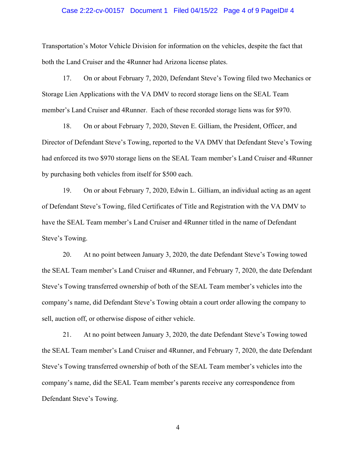#### Case 2:22-cv-00157 Document 1 Filed 04/15/22 Page 4 of 9 PageID# 4

Transportation's Motor Vehicle Division for information on the vehicles, despite the fact that both the Land Cruiser and the 4Runner had Arizona license plates.

 17. On or about February 7, 2020, Defendant Steve's Towing filed two Mechanics or Storage Lien Applications with the VA DMV to record storage liens on the SEAL Team member's Land Cruiser and 4Runner. Each of these recorded storage liens was for \$970.

 18. On or about February 7, 2020, Steven E. Gilliam, the President, Officer, and Director of Defendant Steve's Towing, reported to the VA DMV that Defendant Steve's Towing had enforced its two \$970 storage liens on the SEAL Team member's Land Cruiser and 4Runner by purchasing both vehicles from itself for \$500 each.

 19. On or about February 7, 2020, Edwin L. Gilliam, an individual acting as an agent of Defendant Steve's Towing, filed Certificates of Title and Registration with the VA DMV to have the SEAL Team member's Land Cruiser and 4Runner titled in the name of Defendant Steve's Towing.

 20. At no point between January 3, 2020, the date Defendant Steve's Towing towed the SEAL Team member's Land Cruiser and 4Runner, and February 7, 2020, the date Defendant Steve's Towing transferred ownership of both of the SEAL Team member's vehicles into the company's name, did Defendant Steve's Towing obtain a court order allowing the company to sell, auction off, or otherwise dispose of either vehicle.

 21. At no point between January 3, 2020, the date Defendant Steve's Towing towed the SEAL Team member's Land Cruiser and 4Runner, and February 7, 2020, the date Defendant Steve's Towing transferred ownership of both of the SEAL Team member's vehicles into the company's name, did the SEAL Team member's parents receive any correspondence from Defendant Steve's Towing.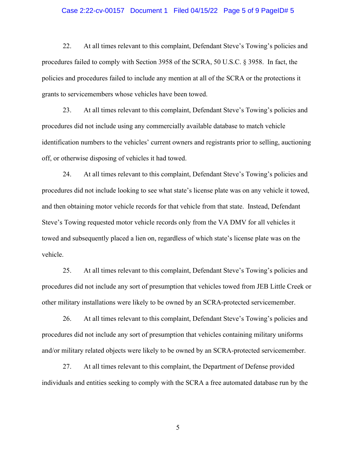#### Case 2:22-cv-00157 Document 1 Filed 04/15/22 Page 5 of 9 PageID# 5

 22. At all times relevant to this complaint, Defendant Steve's Towing's policies and procedures failed to comply with Section 3958 of the SCRA, 50 U.S.C. § 3958. In fact, the policies and procedures failed to include any mention at all of the SCRA or the protections it grants to servicemembers whose vehicles have been towed.

23. At all times relevant to this complaint, Defendant Steve's Towing's policies and procedures did not include using any commercially available database to match vehicle identification numbers to the vehicles' current owners and registrants prior to selling, auctioning off, or otherwise disposing of vehicles it had towed.

24. At all times relevant to this complaint, Defendant Steve's Towing's policies and procedures did not include looking to see what state's license plate was on any vehicle it towed, and then obtaining motor vehicle records for that vehicle from that state. Instead, Defendant Steve's Towing requested motor vehicle records only from the VA DMV for all vehicles it towed and subsequently placed a lien on, regardless of which state's license plate was on the vehicle.

25. At all times relevant to this complaint, Defendant Steve's Towing's policies and procedures did not include any sort of presumption that vehicles towed from JEB Little Creek or other military installations were likely to be owned by an SCRA-protected servicemember.

26. At all times relevant to this complaint, Defendant Steve's Towing's policies and procedures did not include any sort of presumption that vehicles containing military uniforms and/or military related objects were likely to be owned by an SCRA-protected servicemember.

27. At all times relevant to this complaint, the Department of Defense provided individuals and entities seeking to comply with the SCRA a free automated database run by the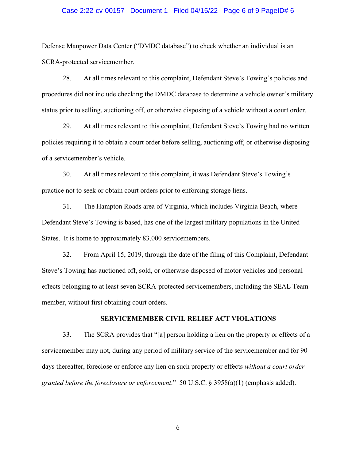#### Case 2:22-cv-00157 Document 1 Filed 04/15/22 Page 6 of 9 PageID# 6

Defense Manpower Data Center ("DMDC database") to check whether an individual is an SCRA-protected servicemember.

28. At all times relevant to this complaint, Defendant Steve's Towing's policies and procedures did not include checking the DMDC database to determine a vehicle owner's military status prior to selling, auctioning off, or otherwise disposing of a vehicle without a court order.

29. At all times relevant to this complaint, Defendant Steve's Towing had no written policies requiring it to obtain a court order before selling, auctioning off, or otherwise disposing of a servicemember's vehicle.

30. At all times relevant to this complaint, it was Defendant Steve's Towing's practice not to seek or obtain court orders prior to enforcing storage liens.

31. The Hampton Roads area of Virginia, which includes Virginia Beach, where Defendant Steve's Towing is based, has one of the largest military populations in the United States. It is home to approximately 83,000 servicemembers.

32. From April 15, 2019, through the date of the filing of this Complaint, Defendant Steve's Towing has auctioned off, sold, or otherwise disposed of motor vehicles and personal effects belonging to at least seven SCRA-protected servicemembers, including the SEAL Team member, without first obtaining court orders.

## **SERVICEMEMBER CIVIL RELIEF ACT VIOLATIONS**

 33. The SCRA provides that "[a] person holding a lien on the property or effects of a servicemember may not, during any period of military service of the servicemember and for 90 days thereafter, foreclose or enforce any lien on such property or effects *without a court order granted before the foreclosure or enforcement*." 50 U.S.C. § 3958(a)(1) (emphasis added).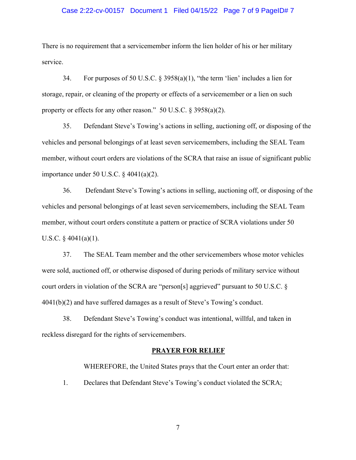#### Case 2:22-cv-00157 Document 1 Filed 04/15/22 Page 7 of 9 PageID# 7

There is no requirement that a servicemember inform the lien holder of his or her military service.

34. For purposes of 50 U.S.C. § 3958(a)(1), "the term 'lien' includes a lien for storage, repair, or cleaning of the property or effects of a servicemember or a lien on such property or effects for any other reason." 50 U.S.C. § 3958(a)(2).

35. Defendant Steve's Towing's actions in selling, auctioning off, or disposing of the vehicles and personal belongings of at least seven servicemembers, including the SEAL Team member, without court orders are violations of the SCRA that raise an issue of significant public importance under 50 U.S.C. § 4041(a)(2).

 36. Defendant Steve's Towing's actions in selling, auctioning off, or disposing of the vehicles and personal belongings of at least seven servicemembers, including the SEAL Team member, without court orders constitute a pattern or practice of SCRA violations under 50 U.S.C.  $§$  4041(a)(1).

 37. The SEAL Team member and the other servicemembers whose motor vehicles were sold, auctioned off, or otherwise disposed of during periods of military service without court orders in violation of the SCRA are "person[s] aggrieved" pursuant to 50 U.S.C. § 4041(b)(2) and have suffered damages as a result of Steve's Towing's conduct.

 38. Defendant Steve's Towing's conduct was intentional, willful, and taken in reckless disregard for the rights of servicemembers.

#### **PRAYER FOR RELIEF**

WHEREFORE, the United States prays that the Court enter an order that: 1. Declares that Defendant Steve's Towing's conduct violated the SCRA;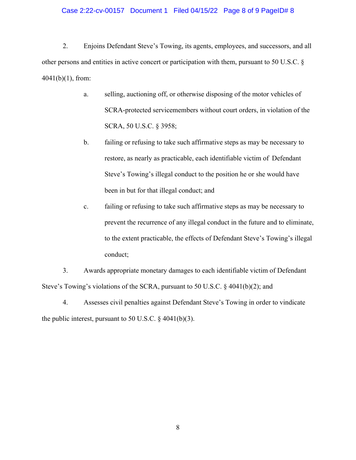### Case 2:22-cv-00157 Document 1 Filed 04/15/22 Page 8 of 9 PageID# 8

 2. Enjoins Defendant Steve's Towing, its agents, employees, and successors, and all other persons and entities in active concert or participation with them, pursuant to 50 U.S.C. § 4041(b)(1), from:

- a. selling, auctioning off, or otherwise disposing of the motor vehicles of SCRA-protected servicemembers without court orders, in violation of the SCRA, 50 U.S.C. § 3958;
- b. failing or refusing to take such affirmative steps as may be necessary to restore, as nearly as practicable, each identifiable victim of Defendant Steve's Towing's illegal conduct to the position he or she would have been in but for that illegal conduct; and
- c. failing or refusing to take such affirmative steps as may be necessary to prevent the recurrence of any illegal conduct in the future and to eliminate, to the extent practicable, the effects of Defendant Steve's Towing's illegal conduct;

3. Awards appropriate monetary damages to each identifiable victim of Defendant Steve's Towing's violations of the SCRA, pursuant to 50 U.S.C. § 4041(b)(2); and

4. Assesses civil penalties against Defendant Steve's Towing in order to vindicate the public interest, pursuant to 50 U.S.C.  $\S$  4041(b)(3).